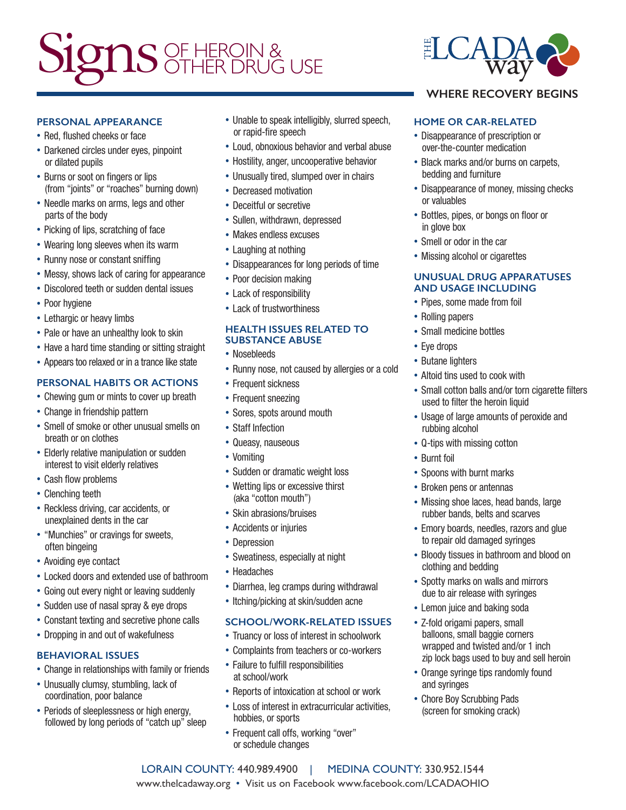# Signs OF HEROIN &

#### **PERSONAL APPEARANCE**

- Red, flushed cheeks or face
- Darkened circles under eyes, pinpoint or dilated pupils
- Burns or soot on fingers or lips (from "joints" or "roaches" burning down)
- Needle marks on arms, legs and other parts of the body
- Picking of lips, scratching of face
- Wearing long sleeves when its warm
- Runny nose or constant sniffing
- Messy, shows lack of caring for appearance
- Discolored teeth or sudden dental issues
- Poor hygiene
- Lethargic or heavy limbs
- Pale or have an unhealthy look to skin
- Have a hard time standing or sitting straight
- Appears too relaxed or in a trance like state

#### **PERSONAL HABITS OR ACTIONS**

- Chewing gum or mints to cover up breath
- Change in friendship pattern
- Smell of smoke or other unusual smells on breath or on clothes
- Elderly relative manipulation or sudden interest to visit elderly relatives
- Cash flow problems
- Clenching teeth
- Reckless driving, car accidents, or unexplained dents in the car
- "Munchies" or cravings for sweets, often bingeing
- Avoiding eye contact
- Locked doors and extended use of bathroom
- Going out every night or leaving suddenly
- Sudden use of nasal spray & eye drops
- Constant texting and secretive phone calls
- Dropping in and out of wakefulness

#### **BEHAVIORAL ISSUES**

- Change in relationships with family or friends
- Unusually clumsy, stumbling, lack of coordination, poor balance
- Periods of sleeplessness or high energy. followed by long periods of "catch up" sleep
- Unable to speak intelligibly, slurred speech, or rapid-fire speech
- Loud, obnoxious behavior and verbal abuse
- Hostility, anger, uncooperative behavior
- Unusually tired, slumped over in chairs
- Decreased motivation
- Deceitful or secretive
- Sullen, withdrawn, depressed
- Makes endless excuses
- Laughing at nothing
- Disappearances for long periods of time
- Poor decision making
- Lack of responsibility
- Lack of trustworthiness

#### **HEALTH ISSUES RELATED TO SUBSTANCE ABUSE**

- Nosebleeds
- Runny nose, not caused by allergies or a cold
- Frequent sickness
- Frequent sneezing
- Sores, spots around mouth
- Staff Infection
- Queasy, nauseous
- Vomiting
- Sudden or dramatic weight loss
- Wetting lips or excessive thirst (aka "cotton mouth")
- Skin abrasions/bruises
- Accidents or injuries
- Depression
- Sweatiness, especially at night
- Headaches
- Diarrhea, leg cramps during withdrawal
- Itching/picking at skin/sudden acne

#### **SCHOOL/WORK-RELATED ISSUES**

- Truancy or loss of interest in schoolwork
- Complaints from teachers or co-workers
- Failure to fulfill responsibilities at school/work
- Reports of intoxication at school or work
- Loss of interest in extracurricular activities, hobbies, or sports

LORAIN COUNTY: 440.989.4900 | MEDINA COUNTY: 330.952.1544 www.thelcadaway.org • Visit us on Facebook www.facebook.com/LCADAOHIO

• Frequent call offs, working "over" or schedule changes



### **WHERE RECOVERY BEGINS**

#### **HOME OR CAR-RELATED**

- Disappearance of prescription or over-the-counter medication
- Black marks and/or burns on carpets, bedding and furniture
- Disappearance of money, missing checks or valuables
- Bottles, pipes, or bongs on floor or in glove box
- Smell or odor in the car
- Missing alcohol or cigarettes

#### **UNUSUAL DRUG APPARATUSES AND USAGE INCLUDING**

- Pipes, some made from foil
- Rolling papers
- Small medicine bottles
- Eye drops
- Butane lighters
- Altoid tins used to cook with
- Small cotton balls and/or torn cigarette filters used to filter the heroin liquid
- Usage of large amounts of peroxide and rubbing alcohol
- Q-tips with missing cotton
- Burnt foil
- Spoons with burnt marks
- Broken pens or antennas
- Missing shoe laces, head bands, large rubber bands, belts and scarves
- Emory boards, needles, razors and glue to repair old damaged syringes
- Bloody tissues in bathroom and blood on clothing and bedding
- Spotty marks on walls and mirrors due to air release with syringes
- Lemon juice and baking soda • Z-fold origami papers, small

• Chore Boy Scrubbing Pads (screen for smoking crack)

and syringes

balloons, small baggie corners wrapped and twisted and/or 1 inch zip lock bags used to buy and sell heroin • Orange syringe tips randomly found